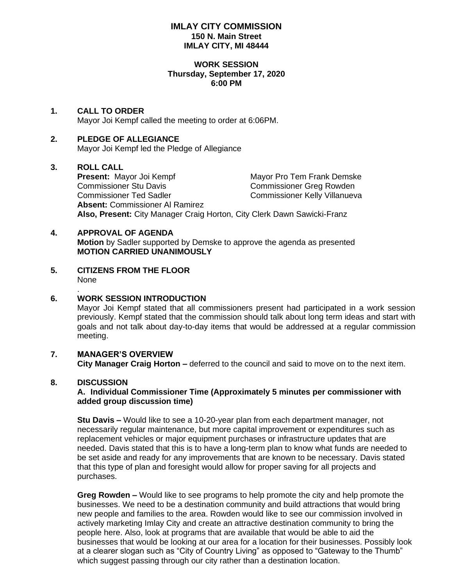## **IMLAY CITY COMMISSION 150 N. Main Street IMLAY CITY, MI 48444**

#### **WORK SESSION Thursday, September 17, 2020 6:00 PM**

# **1. CALL TO ORDER**

Mayor Joi Kempf called the meeting to order at 6:06PM.

# **2. PLEDGE OF ALLEGIANCE**

Mayor Joi Kempf led the Pledge of Allegiance

## **3. ROLL CALL**

**Present:** Mayor Joi Kempf Mayor Pro Tem Frank Demske Commissioner Stu Davis<br>
Commissioner Ted Sadler<br>
Commissioner Ted Sadler<br>
Commissioner Kelly Villanuev Commissioner Kelly Villanueva **Absent:** Commissioner Al Ramirez **Also, Present:** City Manager Craig Horton, City Clerk Dawn Sawicki-Franz

## **4. APPROVAL OF AGENDA**

**Motion** by Sadler supported by Demske to approve the agenda as presented **MOTION CARRIED UNANIMOUSLY**

**5. CITIZENS FROM THE FLOOR** None

#### **6. WORK SESSION INTRODUCTION**

Mayor Joi Kempf stated that all commissioners present had participated in a work session previously. Kempf stated that the commission should talk about long term ideas and start with goals and not talk about day-to-day items that would be addressed at a regular commission meeting.

# **7. MANAGER'S OVERVIEW**

**City Manager Craig Horton –** deferred to the council and said to move on to the next item.

#### **8. DISCUSSION**

.

## **A. Individual Commissioner Time (Approximately 5 minutes per commissioner with added group discussion time)**

**Stu Davis –** Would like to see a 10-20-year plan from each department manager, not necessarily regular maintenance, but more capital improvement or expenditures such as replacement vehicles or major equipment purchases or infrastructure updates that are needed. Davis stated that this is to have a long-term plan to know what funds are needed to be set aside and ready for any improvements that are known to be necessary. Davis stated that this type of plan and foresight would allow for proper saving for all projects and purchases.

**Greg Rowden –** Would like to see programs to help promote the city and help promote the businesses. We need to be a destination community and build attractions that would bring new people and families to the area. Rowden would like to see our commission involved in actively marketing Imlay City and create an attractive destination community to bring the people here. Also, look at programs that are available that would be able to aid the businesses that would be looking at our area for a location for their businesses. Possibly look at a clearer slogan such as "City of Country Living" as opposed to "Gateway to the Thumb" which suggest passing through our city rather than a destination location.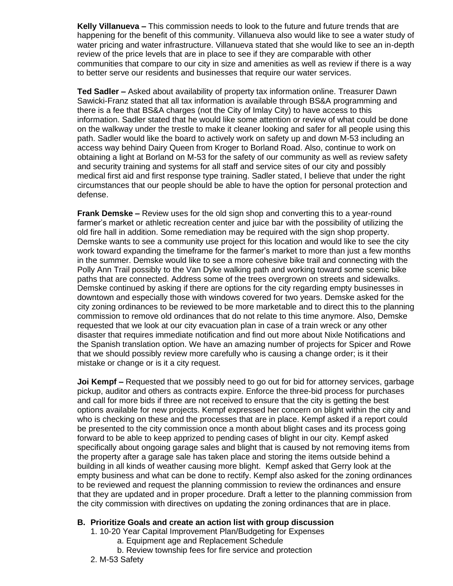**Kelly Villanueva –** This commission needs to look to the future and future trends that are happening for the benefit of this community. Villanueva also would like to see a water study of water pricing and water infrastructure. Villanueva stated that she would like to see an in-depth review of the price levels that are in place to see if they are comparable with other communities that compare to our city in size and amenities as well as review if there is a way to better serve our residents and businesses that require our water services.

**Ted Sadler –** Asked about availability of property tax information online. Treasurer Dawn Sawicki-Franz stated that all tax information is available through BS&A programming and there is a fee that BS&A charges (not the City of Imlay City) to have access to this information. Sadler stated that he would like some attention or review of what could be done on the walkway under the trestle to make it cleaner looking and safer for all people using this path. Sadler would like the board to actively work on safety up and down M-53 including an access way behind Dairy Queen from Kroger to Borland Road. Also, continue to work on obtaining a light at Borland on M-53 for the safety of our community as well as review safety and security training and systems for all staff and service sites of our city and possibly medical first aid and first response type training. Sadler stated, I believe that under the right circumstances that our people should be able to have the option for personal protection and defense.

**Frank Demske –** Review uses for the old sign shop and converting this to a year-round farmer's market or athletic recreation center and juice bar with the possibility of utilizing the old fire hall in addition. Some remediation may be required with the sign shop property. Demske wants to see a community use project for this location and would like to see the city work toward expanding the timeframe for the farmer's market to more than just a few months in the summer. Demske would like to see a more cohesive bike trail and connecting with the Polly Ann Trail possibly to the Van Dyke walking path and working toward some scenic bike paths that are connected. Address some of the trees overgrown on streets and sidewalks. Demske continued by asking if there are options for the city regarding empty businesses in downtown and especially those with windows covered for two years. Demske asked for the city zoning ordinances to be reviewed to be more marketable and to direct this to the planning commission to remove old ordinances that do not relate to this time anymore. Also, Demske requested that we look at our city evacuation plan in case of a train wreck or any other disaster that requires immediate notification and find out more about Nixle Notifications and the Spanish translation option. We have an amazing number of projects for Spicer and Rowe that we should possibly review more carefully who is causing a change order; is it their mistake or change or is it a city request.

**Joi Kempf –** Requested that we possibly need to go out for bid for attorney services, garbage pickup, auditor and others as contracts expire. Enforce the three-bid process for purchases and call for more bids if three are not received to ensure that the city is getting the best options available for new projects. Kempf expressed her concern on blight within the city and who is checking on these and the processes that are in place. Kempf asked if a report could be presented to the city commission once a month about blight cases and its process going forward to be able to keep apprized to pending cases of blight in our city. Kempf asked specifically about ongoing garage sales and blight that is caused by not removing items from the property after a garage sale has taken place and storing the items outside behind a building in all kinds of weather causing more blight. Kempf asked that Gerry look at the empty business and what can be done to rectify. Kempf also asked for the zoning ordinances to be reviewed and request the planning commission to review the ordinances and ensure that they are updated and in proper procedure. Draft a letter to the planning commission from the city commission with directives on updating the zoning ordinances that are in place.

#### **B. Prioritize Goals and create an action list with group discussion**

- 1. 10-20 Year Capital Improvement Plan/Budgeting for Expenses
	- a. Equipment age and Replacement Schedule
	- b. Review township fees for fire service and protection
- 2. M-53 Safety